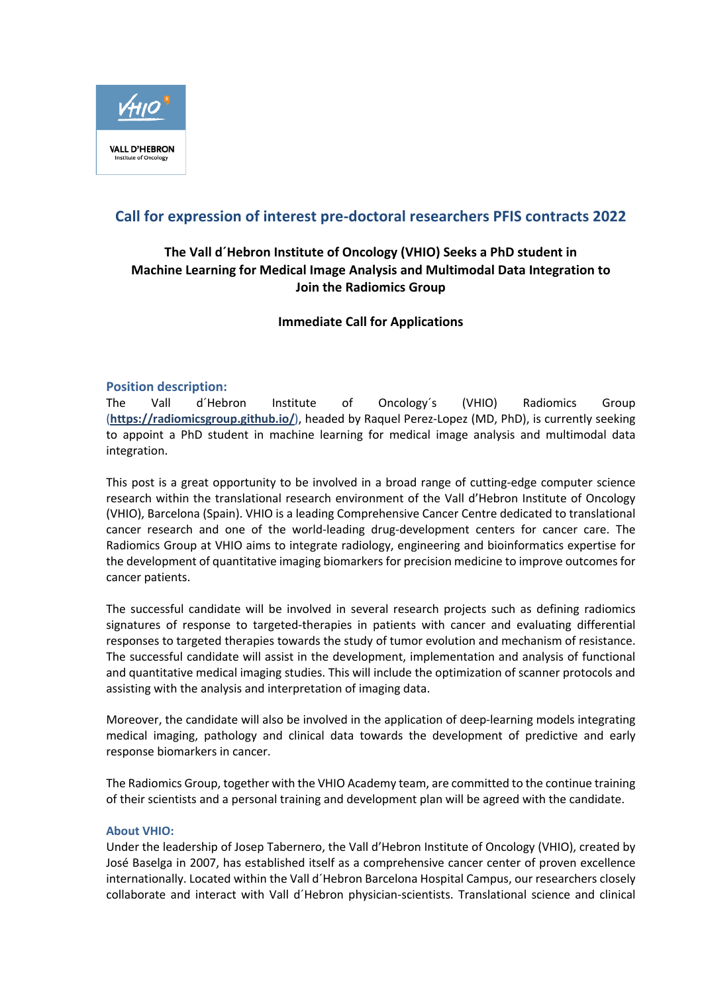

# **Call for expression of interest pre-doctoral researchers PFIS contracts 2022**

# **The Vall d´Hebron Institute of Oncology (VHIO) Seeks a PhD student in Machine Learning for Medical Image Analysis and Multimodal Data Integration to Join the Radiomics Group**

**Immediate Call for Applications**

# **Position description:**

The Vall d´Hebron Institute of Oncology´s (VHIO) Radiomics Group (**https://radiomicsgroup.github.io/**), headed by Raquel Perez-Lopez (MD, PhD), is currently seeking to appoint a PhD student in machine learning for medical image analysis and multimodal data integration.

This post is a great opportunity to be involved in a broad range of cutting-edge computer science research within the translational research environment of the Vall d'Hebron Institute of Oncology (VHIO), Barcelona (Spain). VHIO is a leading Comprehensive Cancer Centre dedicated to translational cancer research and one of the world-leading drug-development centers for cancer care. The Radiomics Group at VHIO aims to integrate radiology, engineering and bioinformatics expertise for the development of quantitative imaging biomarkers for precision medicine to improve outcomes for cancer patients.

The successful candidate will be involved in several research projects such as defining radiomics signatures of response to targeted-therapies in patients with cancer and evaluating differential responses to targeted therapies towards the study of tumor evolution and mechanism of resistance. The successful candidate will assist in the development, implementation and analysis of functional and quantitative medical imaging studies. This will include the optimization of scanner protocols and assisting with the analysis and interpretation of imaging data.

Moreover, the candidate will also be involved in the application of deep-learning models integrating medical imaging, pathology and clinical data towards the development of predictive and early response biomarkers in cancer.

The Radiomics Group, together with the VHIO Academy team, are committed to the continue training of their scientists and a personal training and development plan will be agreed with the candidate.

#### **About VHIO:**

Under the leadership of Josep Tabernero, the Vall d'Hebron Institute of Oncology (VHIO), created by José Baselga in 2007, has established itself as a comprehensive cancer center of proven excellence internationally. Located within the Vall d´Hebron Barcelona Hospital Campus, our researchers closely collaborate and interact with Vall d´Hebron physician-scientists. Translational science and clinical